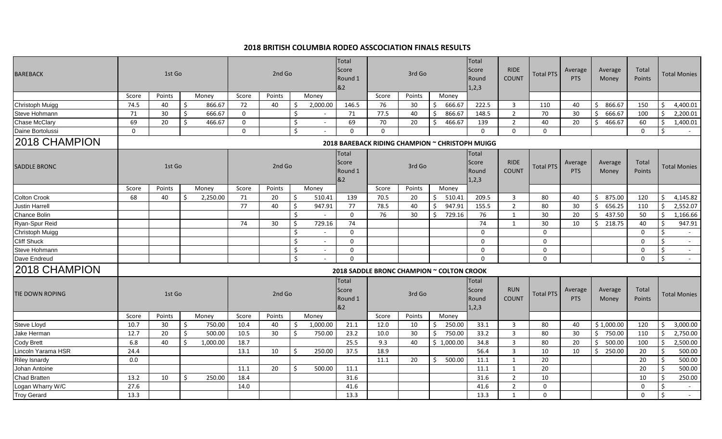| 1st Go<br><b>BAREBACK</b> |             |        |    |          |             | 2nd Go |         |          | Total<br>Score<br>Round 1<br>&2 | 3rd Go   |        |    |                                                 | Total<br>Score<br>Round<br>1,2,3 | <b>RIDE</b><br><b>COUNT</b> | <b>Total PTS</b> | Average<br><b>PTS</b> | Average<br>Money | Total<br>Points |               | Total Monies        |
|---------------------------|-------------|--------|----|----------|-------------|--------|---------|----------|---------------------------------|----------|--------|----|-------------------------------------------------|----------------------------------|-----------------------------|------------------|-----------------------|------------------|-----------------|---------------|---------------------|
|                           | Score       | Points |    | Money    | Score       | Points |         | Money    |                                 | Score    | Points |    | Money                                           |                                  |                             |                  |                       |                  |                 |               |                     |
| Christoph Muigg           | 74.5        | 40     |    | 866.67   | 72          | 40     |         | 2,000.00 | 146.5                           | 76       | 30     |    | 666.67                                          | 222.5                            | $\overline{3}$              | 110              | 40                    | 866.67<br>S.     | 150             |               | 4,400.01            |
| Steve Hohmann             | 71          | 30     | \$ | 666.67   | $\mathbf 0$ |        | Ŝ.      |          | 71                              | 77.5     | 40     |    | 866.67                                          | 148.5                            | $\overline{2}$              | 70               | 30                    | 666.67           | 100             | ς.            | 2,200.01            |
| Chase McClary             | 69          | 20     | \$ | 466.67   | $\mathbf 0$ |        | \$      |          | 69                              | 70       | 20     |    | 466.67<br>S                                     | 139                              | $\overline{2}$              | 40               | 20                    | 466.67<br>S.     | 60              | \$            | 1,400.01            |
| Daine Bortolussi          | $\mathbf 0$ |        |    |          | $\Omega$    |        | \$      |          | $\Omega$                        | $\Omega$ |        |    |                                                 | $\Omega$                         | $\Omega$                    | $\Omega$         |                       |                  | $\Omega$        | -Ś            |                     |
| 2018 CHAMPION             |             |        |    |          |             |        |         |          |                                 |          |        |    | 2018 BAREBACK RIDING CHAMPION ~ CHRISTOPH MUIGG |                                  |                             |                  |                       |                  |                 |               |                     |
| SADDLE BRONC              |             | 1st Go |    |          |             | 2nd Go |         |          | Total<br>Score<br>Round 1<br>82 |          | 3rd Go |    |                                                 | Total<br>Score<br>Round<br>1,2,3 | <b>RIDE</b><br><b>COUNT</b> | <b>Total PTS</b> | Average<br><b>PTS</b> | Average<br>Money | Total<br>Points |               | Total Monies        |
|                           | Score       | Points |    | Money    | Score       | Points |         | Money    |                                 | Score    | Points |    | Money                                           |                                  |                             |                  |                       |                  |                 |               |                     |
| Colton Crook              | 68          | 40     | Ŝ. | 2,250.00 | 71          | 20     | \$      | 510.41   | 139                             | 70.5     | 20     |    | 510.41<br>-\$                                   | 209.5                            | $\overline{3}$              | 80               | 40                    | 875.00<br>S.     | 120             | Ŝ.            | 4,145.82            |
| <b>Justin Harrell</b>     |             |        |    |          | 77          | 40     | S.      | 947.91   | 77                              | 78.5     | 40     | -S | 947.91                                          | 155.5                            | 2                           | 80               | 30                    | 656.25<br>Ŝ.     | 110             | .\$           | 2,552.07            |
| Chance Bolin              |             |        |    |          |             |        | Ŝ.      | $\sim$   | $\mathbf 0$                     | 76       | 30     |    | 729.16<br>Ś                                     | 76                               | 1                           | 30               | 20                    | 437.50<br>ς.     | 50              | Ŝ.            | 1,166.66            |
| Ryan-Spur Reid            |             |        |    |          | 74          | 30     | Ś       | 729.16   | 74                              |          |        |    |                                                 | 74                               | 1                           | 30               | 10                    | 218.75<br>Ŝ.     | 40              | ς.            | 947.91              |
| Christoph Muigg           |             |        |    |          |             |        | \$      |          | $\Omega$                        |          |        |    |                                                 | $\Omega$                         |                             | $\Omega$         |                       |                  | $\mathbf{0}$    | -Ś            | $\sim$              |
| <b>Cliff Shuck</b>        |             |        |    |          |             |        | \$      | $\sim$   | $\mathbf 0$                     |          |        |    |                                                 | $\Omega$                         |                             | 0                |                       |                  | 0               | Ś.            | $\sim$              |
| Steve Hohmann             |             |        |    |          |             |        | $\zeta$ | $\sim$   | $\mathbf{0}$                    |          |        |    |                                                 | $\mathbf{0}$                     |                             | $\Omega$         |                       |                  | $\mathbf 0$     | Ŝ.            | $\sim$              |
| Dave Endreud              |             |        |    |          |             |        | \$      | $\sim$   | $\Omega$                        |          |        |    |                                                 | $\mathbf{0}$                     |                             | $\Omega$         |                       |                  | $\Omega$        | Ŝ.            | $\sim$              |
| 2018 CHAMPION             |             |        |    |          |             |        |         |          |                                 |          |        |    | 2018 SADDLE BRONC CHAMPION ~ COLTON CROOK       |                                  |                             |                  |                       |                  |                 |               |                     |
| TIE DOWN ROPING           |             | 1st Go |    |          |             | 2nd Go |         |          | Total<br>Score<br>Round 1<br>&2 |          | 3rd Go |    |                                                 | Total<br>Score<br>Round<br>1,2,3 | <b>RUN</b><br><b>COUNT</b>  | <b>Total PTS</b> | Average<br><b>PTS</b> | Average<br>Money | Total<br>Points |               | <b>Total Monies</b> |
|                           | Score       | Points |    | Money    | Score       | Points |         | Money    |                                 | Score    | Points |    | Money                                           |                                  |                             |                  |                       |                  |                 |               |                     |
| Steve Lloyd               | 10.7        | 30     | \$ | 750.00   | 10.4        | 40     | Ŝ       | 1,000.00 | 21.1                            | 12.0     | 10     | -S | 250.00                                          | 33.1                             | 3                           | 80               | 40                    | \$1,000.00       | 120             | .S            | 3,000.00            |
| Jake Herman               | 12.7        | 20     | Ŝ. | 500.00   | 10.5        | 30     | Ŝ.      | 750.00   | 23.2                            | 10.0     | 30     |    | 750.00<br>-S                                    | 33.2                             | $\overline{3}$              | 80               | 30                    | Ŝ.<br>750.00     | 110             | -S            | 2,750.00            |
| <b>Cody Brett</b>         | 6.8         | 40     | Ŝ. | 1,000.00 | 18.7        |        |         |          | 25.5                            | 9.3      | 40     |    | \$1,000.00                                      | 34.8                             | $\overline{3}$              | 80               | 20                    | Ŝ.<br>500.00     | 100             | Ŝ.            | 2,500.00            |
| Lincoln Yarama HSR        | 24.4        |        |    |          | 13.1        | 10     | Ŝ.      | 250.00   | 37.5                            | 18.9     |        |    |                                                 | 56.4                             | 3                           | 10               | 10                    | 250.00<br>Ŝ.     | 20              |               | 500.00              |
| Riley Isnardy             | 0.0         |        |    |          |             |        |         |          |                                 | 11.1     | 20     |    | 500.00<br>\$                                    | 11.1                             | 1                           | 20               |                       |                  | 20              |               | 500.00              |
| Johan Antoine             |             |        |    |          | 11.1        | 20     | Ŝ.      | 500.00   | 11.1                            |          |        |    |                                                 | 11.1                             | 1                           | 20               |                       |                  | 20              |               | 500.00              |
| Chad Bratten              | 13.2        | 10     | Ŝ. | 250.00   | 18.4        |        |         |          | 31.6                            |          |        |    |                                                 | 31.6                             | $\overline{2}$              | 10               |                       |                  | 10              |               | 250.00              |
| Logan Wharry W/C          | 27.6        |        |    |          | 14.0        |        |         |          | 41.6                            |          |        |    |                                                 | 41.6                             | 2                           | 0                |                       |                  | $\mathbf 0$     | .S            |                     |
| <b>Troy Gerard</b>        | 13.3        |        |    |          |             |        |         |          | 13.3                            |          |        |    |                                                 | 13.3                             | 1                           | $\Omega$         |                       |                  | $\mathbf{0}$    | <sup>\$</sup> |                     |

## **2018 BRITISH COLUMBIA RODEO ASSCOCIATION FINALS RESULTS**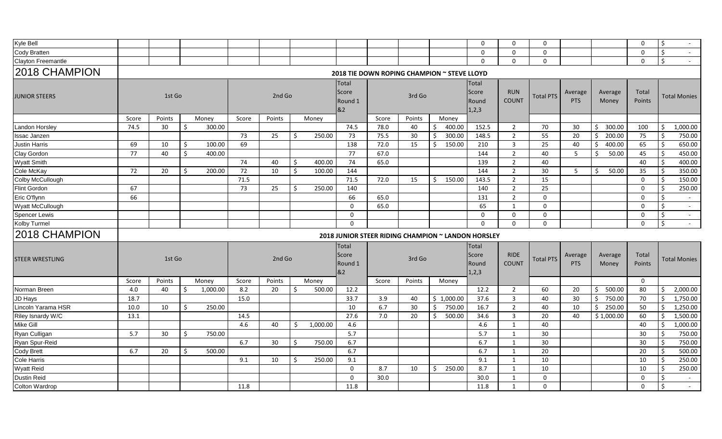| Kyle Bell              |       |        |    |          |       |        |    |          |                                        |                                                    |        |     |            | $\mathbf 0$                        | 0                           | 0                |                       |                  | $\mathbf 0$            | \$ | $\sim$              |
|------------------------|-------|--------|----|----------|-------|--------|----|----------|----------------------------------------|----------------------------------------------------|--------|-----|------------|------------------------------------|-----------------------------|------------------|-----------------------|------------------|------------------------|----|---------------------|
| <b>Cody Bratten</b>    |       |        |    |          |       |        |    |          |                                        |                                                    |        |     |            | $\Omega$                           | $\mathbf 0$                 | $\Omega$         |                       |                  | $\mathbf 0$            | \$ | $\sim$              |
| Clayton Freemantle     |       |        |    |          |       |        |    |          |                                        |                                                    |        |     |            | $\Omega$                           | $\mathbf 0$                 | $\mathbf 0$      |                       |                  | 0                      | \$ | $\sim$              |
| 2018 CHAMPION          |       |        |    |          |       |        |    |          |                                        | 2018 TIE DOWN ROPING CHAMPION ~ STEVE LLOYD        |        |     |            |                                    |                             |                  |                       |                  |                        |    |                     |
| <b>JUNIOR STEERS</b>   |       | 1st Go |    |          |       | 2nd Go |    |          | <b>Total</b><br>Score<br>Round 1<br>&2 |                                                    | 3rd Go |     |            | Total<br>Score<br>Round<br>1, 2, 3 | <b>RUN</b><br><b>COUNT</b>  | <b>Total PTS</b> | Average<br><b>PTS</b> | Average<br>Money | Total<br><b>Points</b> |    | <b>Total Monies</b> |
|                        | Score | Points |    | Money    | Score | Points |    | Money    |                                        | Score                                              | Points |     | Money      |                                    |                             |                  |                       |                  |                        |    |                     |
| <b>Landon Horsley</b>  | 74.5  | 30     | \$ | 300.00   |       |        |    |          | 74.5                                   | 78.0                                               | 40     | -S  | 400.00     | 152.5                              | 2                           | 70               | 30                    | Ŝ.<br>300.00     | 100                    | \$ | 1,000.00            |
| <b>Issac Janzen</b>    |       |        |    |          | 73    | 25     | Ŝ. | 250.00   | 73                                     | 75.5                                               | 30     | -Ś  | 300.00     | 148.5                              | $\overline{2}$              | 55               | 20                    | Ŝ.<br>200.00     | 75                     | -Ś | 750.00              |
| <b>Justin Harris</b>   | 69    | 10     | \$ | 100.00   | 69    |        |    |          | 138                                    | 72.0                                               | 15     | \$. | 150.00     | 210                                | 3                           | 25               | 40                    | 400.00<br>Ŝ.     | 65                     | Ŝ. | 650.00              |
| Clay Gordon            | 77    | 40     | \$ | 400.00   |       |        |    |          | 77                                     | 67.0                                               |        |     |            | 144                                | $\overline{2}$              | 40               | 5                     | \$<br>50.00      | 45                     | \$ | 450.00              |
| <b>Wyatt Smith</b>     |       |        |    |          | 74    | 40     | Ŝ. | 400.00   | 74                                     | 65.0                                               |        |     |            | 139                                | $\overline{2}$              | 40               |                       |                  | 40                     | Š. | 400.00              |
| Cole McKay             | 72    | 20     | \$ | 200.00   | 72    | 10     | \$ | 100.00   | 144                                    |                                                    |        |     |            | 144                                | 2                           | 30               | 5                     | 50.00<br>\$      | 35                     | \$ | 350.00              |
| Colby McCullough       |       |        |    |          | 71.5  |        |    |          | 71.5                                   | 72.0                                               | 15     | Ŝ.  | 150.00     | 143.5                              | $\overline{2}$              | 15               |                       |                  | $\mathbf 0$            | \$ | 150.00              |
| Flint Gordon           | 67    |        |    |          | 73    | 25     | Ś  | 250.00   | 140                                    |                                                    |        |     |            | 140                                | $\overline{2}$              | 25               |                       |                  | 0                      | -Ś | 250.00              |
| Eric O'flynn           | 66    |        |    |          |       |        |    |          | 66                                     | 65.0                                               |        |     |            | 131                                | $\overline{2}$              | $\mathbf 0$      |                       |                  | $\mathbf 0$            | Ś. |                     |
| Wyatt McCullough       |       |        |    |          |       |        |    |          | $\mathbf 0$                            | 65.0                                               |        |     |            | 65                                 | 1                           | $\mathbf 0$      |                       |                  | $\mathbf 0$            | Ŝ. | $\sim$              |
| <b>Spencer Lewis</b>   |       |        |    |          |       |        |    |          | $\mathbf 0$                            |                                                    |        |     |            | $\mathbf 0$                        | 0                           | $\mathbf 0$      |                       |                  | $\mathbf 0$            | \$ | $\sim$              |
| Kolby Turmel           |       |        |    |          |       |        |    |          | $\Omega$                               |                                                    |        |     |            | $\Omega$                           | $\mathbf 0$                 | $\mathbf 0$      |                       |                  | $\mathbf 0$            | \$ | $\sim$              |
| 2018 CHAMPION          |       |        |    |          |       |        |    |          |                                        | 2018 JUNIOR STEER RIDING CHAMPION ~ LANDON HORSLEY |        |     |            |                                    |                             |                  |                       |                  |                        |    |                     |
| <b>STEER WRESTLING</b> |       | 1st Go |    |          |       | 2nd Go |    |          | Total<br>Score<br>Round 1<br>82        |                                                    | 3rd Go |     |            | Total<br>Score<br>Round<br>1,2,3   | <b>RIDE</b><br><b>COUNT</b> | <b>Total PTS</b> | Average<br><b>PTS</b> | Average<br>Money | Total<br>Points        |    | <b>Total Monies</b> |
|                        | Score | Points |    | Money    | Score | Points |    | Money    |                                        | Score                                              | Points |     | Money      |                                    |                             |                  |                       |                  | 0                      |    |                     |
| Norman Breen           | 4.0   | 40     | \$ | 1,000.00 | 8.2   | 20     | Ŝ. | 500.00   | 12.2                                   |                                                    |        |     |            | 12.2                               | $\overline{2}$              | 60               | 20                    | 500.00<br>S.     | 80                     | Ŝ. | 2,000.00            |
| <b>JD Hays</b>         | 18.7  |        |    |          | 15.0  |        |    |          | 33.7                                   | 3.9                                                | 40     |     | \$1,000.00 | 37.6                               | 3                           | 40               | 30                    | 750.00<br>Ŝ.     | 70                     | Ŝ. | 1,750.00            |
| Lincoln Yarama HSR     | 10.0  | 10     | \$ | 250.00   |       |        |    |          | 10                                     | 6.7                                                | 30     | Ŝ.  | 750.00     | 16.7                               | $\overline{2}$              | 40               | 10                    | Ŝ.<br>250.00     | 50                     | Ŝ. | 1,250.00            |
| Riley Isnardy W/C      | 13.1  |        |    |          | 14.5  |        |    |          | 27.6                                   | 7.0                                                | 20     | -Ś  | 500.00     | 34.6                               | $\overline{3}$              | 20               | 40                    | \$1,000.00       | 60                     | Ŝ. | 1,500.00            |
| Mike Gill              |       |        |    |          | 4.6   | 40     | Ŝ. | 1,000.00 | 4.6                                    |                                                    |        |     |            | 4.6                                | 1                           | 40               |                       |                  | 40                     | Ś. | 1,000.00            |
| Ryan Culligan          | 5.7   | 30     | Ŝ. | 750.00   |       |        |    |          | 5.7                                    |                                                    |        |     |            | 5.7                                | 1                           | 30               |                       |                  | 30                     | Ŝ. | 750.00              |
| Ryan Spur-Reid         |       |        |    |          | 6.7   | 30     | Ŝ. | 750.00   | 6.7                                    |                                                    |        |     |            | 6.7                                | 1                           | 30               |                       |                  | 30                     | Š. | 750.00              |
| <b>Cody Brett</b>      | 6.7   | 20     | -Ś | 500.00   |       |        |    |          | 6.7                                    |                                                    |        |     |            | 6.7                                | 1                           | 20               |                       |                  | 20                     | Ś  | 500.00              |
| Cole Harris            |       |        |    |          | 9.1   | 10     | Ŝ. | 250.00   | 9.1                                    |                                                    |        |     |            | 9.1                                | 1                           | 10               |                       |                  | 10                     | -Ś | 250.00              |
| <b>Wyatt Reid</b>      |       |        |    |          |       |        |    |          | $\Omega$                               | 8.7                                                | 10     | -Ś  | 250.00     | 8.7                                | 1                           | 10               |                       |                  | 10                     | Ŝ. | 250.00              |
| <b>Dustin Reid</b>     |       |        |    |          |       |        |    |          | $\Omega$                               | 30.0                                               |        |     |            | 30.0                               | 1                           | $\mathbf{0}$     |                       |                  | $\Omega$               | Ŝ. |                     |
| Colton Wardrop         |       |        |    |          | 11.8  |        |    |          | 11.8                                   |                                                    |        |     |            | 11.8                               | 1                           | $\Omega$         |                       |                  | $\Omega$               | Ś. | $\sim$              |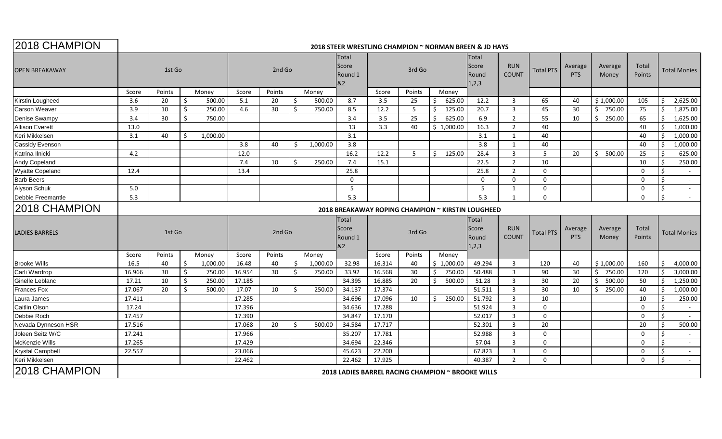| 2018 CHAMPION           | 2018 STEER WRESTLING CHAMPION ~ NORMAN BREEN & JD HAYS |        |    |          |        |        |         |                                        |                        |        |        |                                                   |                            |                            |                       |                       |                  |                     |                           |
|-------------------------|--------------------------------------------------------|--------|----|----------|--------|--------|---------|----------------------------------------|------------------------|--------|--------|---------------------------------------------------|----------------------------|----------------------------|-----------------------|-----------------------|------------------|---------------------|---------------------------|
| <b>OPEN BREAKAWAY</b>   |                                                        | 1st Go |    | 2nd Go   |        |        |         | <b>Total</b><br>Score<br>Round 1<br>82 |                        | 3rd Go |        | <b>Total</b><br>Score<br>Round<br>1,2,3           | <b>RUN</b><br><b>COUNT</b> |                            | Average<br><b>PTS</b> | Average<br>Money      | Total<br>Points  | <b>Total Monies</b> |                           |
|                         | Score                                                  | Points |    | Money    | Score  | Points |         | Money                                  |                        | Score  | Points | Money                                             |                            |                            |                       |                       |                  |                     |                           |
| Kirstin Lougheed        | 3.6                                                    | 20     | \$ | 500.00   | 5.1    | 20     | -Ś      | 500.00                                 | 8.7                    | 3.5    | 25     | 625.00<br>S                                       | 12.2                       | $\overline{3}$             | 65                    | 40                    | \$1,000.00       | 105                 | \$<br>2,625.00            |
| Carson Weaver           | 3.9                                                    | 10     | Ŝ. | 250.00   | 4.6    | 30     | -Ś      | 750.00                                 | 8.5                    | 12.2   | 5      | 125.00<br>\$.                                     | 20.7                       | $\overline{3}$             | 45                    | 30                    | \$<br>750.00     | 75                  | 1,875.00<br><sup>\$</sup> |
| Denise Swampy           | 3.4                                                    | 30     | Ŝ. | 750.00   |        |        |         |                                        | 3.4                    | 3.5    | 25     | 625.00                                            | 6.9                        | $\overline{2}$             | 55                    | 10                    | Ŝ.<br>250.00     | 65                  | <sup>\$</sup><br>1,625.00 |
| <b>Allison Everett</b>  | 13.0                                                   |        |    |          |        |        |         |                                        | 13                     | 3.3    | 40     | \$1,000.00                                        | 16.3                       | $\overline{2}$             | 40                    |                       |                  | 40                  | Ś<br>1,000.00             |
| Keri Mikkelsen          | 3.1                                                    | 40     | -Ś | 1,000.00 |        |        |         |                                        | 3.1                    |        |        |                                                   | 3.1                        | 1                          | 40                    |                       |                  | 40                  | 1,000.00                  |
| Cassidy Evenson         |                                                        |        |    |          | 3.8    | 40     | -Ś      | 1,000.00                               | 3.8                    |        |        |                                                   | 3.8                        | 1                          | 40                    |                       |                  | 40                  | 1,000.00<br>Ŝ.            |
| Katrina Ilnicki         | 4.2                                                    |        |    |          | 12.0   |        |         |                                        | 16.2                   | 12.2   | -5     | 125.00<br>Ś.                                      | 28.4                       | $\overline{3}$             | -5                    | 20                    | 500.00<br>\$     | 25                  | Ś<br>625.00               |
| Andy Copeland           |                                                        |        |    |          | 7.4    | 10     | $\zeta$ | 250.00                                 | 7.4                    | 15.1   |        |                                                   | 22.5                       | $\overline{2}$             | 10                    |                       |                  | 10                  | -Ś<br>250.00              |
| <b>Wyatte Copeland</b>  | 12.4                                                   |        |    |          | 13.4   |        |         |                                        | 25.8                   |        |        |                                                   | 25.8                       | 2                          | $\Omega$              |                       |                  | $\mathbf 0$         | Ŝ.                        |
| <b>Barb Beers</b>       |                                                        |        |    |          |        |        |         |                                        | $\Omega$               |        |        |                                                   | $\Omega$                   | $\Omega$                   | $\Omega$              |                       |                  | $\mathbf 0$         | \$<br>$\sim$              |
| Alyson Schuk            | 5.0                                                    |        |    |          |        |        |         |                                        | 5                      |        |        |                                                   | 5                          | 1                          | $\Omega$              |                       |                  | $\mathbf 0$         | Ŝ.<br>$\sim$              |
| Debbie Freemantle       | 5.3                                                    |        |    |          |        |        |         |                                        | 5.3                    |        |        |                                                   | 5.3                        | 1                          | $\Omega$              |                       |                  | $\Omega$            | <sup>\$</sup>             |
| 2018 CHAMPION           |                                                        |        |    |          |        |        |         |                                        |                        |        |        | 2018 BREAKAWAY ROPING CHAMPION ~ KIRSTIN LOUGHEED |                            |                            |                       |                       |                  |                     |                           |
|                         |                                                        |        |    |          |        |        |         |                                        | <b>Total</b>           |        |        |                                                   | Total                      |                            |                       |                       |                  |                     |                           |
| <b>LADIES BARRELS</b>   |                                                        | 1st Go |    |          |        | 2nd Go |         |                                        | Score<br>Round 1<br>82 |        | 3rd Go |                                                   | Score<br>Round<br>1,2,3    | <b>RUN</b><br><b>COUNT</b> | <b>Total PTS</b>      | Average<br><b>PTS</b> | Average<br>Money | Total<br>Points     | <b>Total Monies</b>       |
|                         | Score                                                  | Points |    | Money    | Score  | Points |         | Money                                  |                        | Score  | Points | Money                                             |                            |                            |                       |                       |                  |                     |                           |
| <b>Brooke Wills</b>     | 16.5                                                   | 40     | -Ś | 1,000.00 | 16.48  | 40     | -S      | 1,000.00                               | 32.98                  | 16.314 | 40     | \$1,000.00                                        | 49.294                     | $\overline{3}$             | 120                   | 40                    | \$1,000.00       | 160                 | Ŝ.<br>4,000.00            |
| Carli Wardrop           | 16.966                                                 | 30     | Ŝ. | 750.00   | 16.954 | 30     | -Ś      | 750.00                                 | 33.92                  | 16.568 | 30     | 750.00<br>Ś.                                      | 50.488                     | $\overline{3}$             | 90                    | 30                    | Ś.<br>750.00     | 120                 | 3,000.00<br><sup>\$</sup> |
| Ginelle Leblanc         | 17.21                                                  | 10     | \$ | 250.00   | 17.185 |        |         |                                        | 34.395                 | 16.885 | 20     | Ś<br>500.00                                       | 51.28                      | $\overline{3}$             | 30                    | 20                    | Ŝ.<br>500.00     | 50                  | 1,250.00<br>Ŝ.            |
| <b>Frances Fox</b>      | 17.067                                                 | 20     | Ŝ. | 500.00   | 17.07  | 10     | -Ś      | 250.00                                 | 34.137                 | 17.374 |        |                                                   | 51.511                     | $\overline{3}$             | 30                    | 10                    | Ŝ.<br>250.00     | 40                  | Ŝ.<br>1,000.00            |
| Laura James             | 17.411                                                 |        |    |          | 17.285 |        |         |                                        | 34.696                 | 17.096 | 10     | 250.00<br>\$.                                     | 51.792                     | $\overline{3}$             | 10                    |                       |                  | 10                  | 250.00                    |
| Caitlin Olson           | 17.24                                                  |        |    |          | 17.396 |        |         |                                        | 34.636                 | 17.288 |        |                                                   | 51.924                     | $\overline{3}$             | $\Omega$              |                       |                  | $\mathbf 0$         | Ś                         |
| Debbie Roch             | 17.457                                                 |        |    |          | 17.390 |        |         |                                        | 34.847                 | 17.170 |        |                                                   | 52.017                     | $\overline{3}$             | $\Omega$              |                       |                  | $\mathbf 0$         | Ś.                        |
| Nevada Dynneson HSR     | 17.516                                                 |        |    |          | 17.068 | 20     | ς.      | 500.00                                 | 34.584                 | 17.717 |        |                                                   | 52.301                     | 3                          | 20                    |                       |                  | 20                  | 500.00<br>Ŝ.              |
| Joleen Seitz W/C        | 17.241                                                 |        |    |          | 17.966 |        |         |                                        | 35.207                 | 17.781 |        |                                                   | 52.988                     | 3                          | $\Omega$              |                       |                  | $\mathbf 0$         | \$                        |
| McKenzie Wills          | 17.265                                                 |        |    |          | 17.429 |        |         |                                        | 34.694                 | 22.346 |        |                                                   | 57.04                      | $\overline{3}$             | $\Omega$              |                       |                  | $\mathbf 0$         | \$<br>$\sim$              |
| <b>Krystal Campbell</b> | 22.557                                                 |        |    |          | 23.066 |        |         |                                        | 45.623                 | 22.200 |        |                                                   | 67.823                     | $\overline{3}$             | $\Omega$              |                       |                  | $\mathbf 0$         | Ś<br>$\sim$               |
| Keri Mikkelsen          |                                                        |        |    |          | 22.462 |        |         |                                        | 22.462                 | 17.925 |        |                                                   | 40.387                     | $\overline{2}$             | $\Omega$              |                       |                  | $\Omega$            | Ś.<br>$\sim$              |
| 2018 CHAMPION           |                                                        |        |    |          |        |        |         |                                        |                        |        |        | 2018 LADIES BARREL RACING CHAMPION ~ BROOKE WILLS |                            |                            |                       |                       |                  |                     |                           |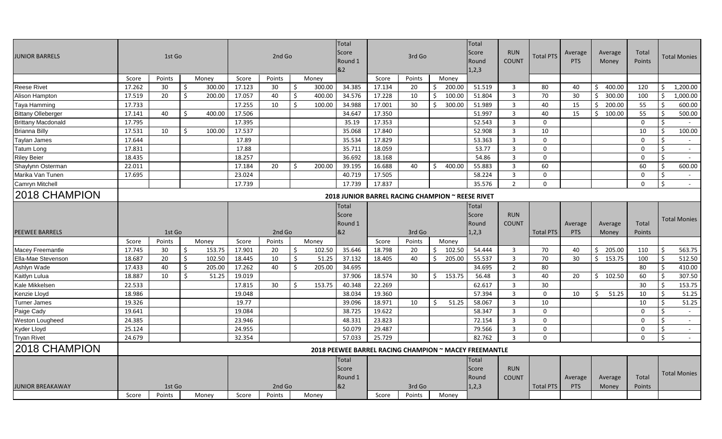| JUNIOR BARRELS            |        | 1st Go |    |        | 2nd Go |        |    |        | Total<br>Score<br>Round 1<br>82                       | 3rd Go |        |    | Total<br>Score<br>Round<br>1,2,3 | <b>RUN</b><br><b>COUNT</b> | <b>Total PTS</b> | Average<br><b>PTS</b> | Average<br>Money      | Total<br>Points  |                 | Total Monies        |                     |
|---------------------------|--------|--------|----|--------|--------|--------|----|--------|-------------------------------------------------------|--------|--------|----|----------------------------------|----------------------------|------------------|-----------------------|-----------------------|------------------|-----------------|---------------------|---------------------|
|                           | Score  | Points |    | Money  | Score  | Points |    | Money  |                                                       | Score  | Points |    | Money                            |                            |                  |                       |                       |                  |                 |                     |                     |
| <b>Reese Rivet</b>        | 17.262 | 30     | \$ | 300.00 | 17.123 | 30     | \$ | 300.00 | 34.385                                                | 17.134 | 20     | Ś  | 200.00                           | 51.519                     | 3                | 80                    | 40                    | 400.00<br>\$     | 120             | Ŝ.                  | 1,200.00            |
| Alison Hampton            | 17.519 | 20     | \$ | 200.00 | 17.057 | 40     | \$ | 400.00 | 34.576                                                | 17.228 | 10     | -Ś | 100.00                           | 51.804                     | $\mathbf{3}$     | 70                    | 30                    | 300.00<br>Ŝ.     | 100             | \$                  | 1,000.00            |
| Taya Hamming              | 17.733 |        |    |        | 17.255 | 10     | Ś  | 100.00 | 34.988                                                | 17.001 | 30     | Ś. | 300.00                           | 51.989                     | 3                | 40                    | 15                    | 200.00<br>S.     | 55              | Ŝ.                  | 600.00              |
| <b>Bittany Olleberger</b> | 17.141 | 40     | Ŝ. | 400.00 | 17.506 |        |    |        | 34.647                                                | 17.350 |        |    |                                  | 51.997                     | $\overline{3}$   | 40                    | 15                    | Ŝ.<br>100.00     | 55              | Ŝ.                  | 500.00              |
| <b>Brittany Macdonald</b> | 17.795 |        |    |        | 17.395 |        |    |        | 35.19                                                 | 17.353 |        |    |                                  | 52.543                     | 3                | $\Omega$              |                       |                  | $\mathbf 0$     | $\mathsf{S}$        | $\sim$              |
| <b>Brianna Billy</b>      | 17.531 | 10     | Ŝ. | 100.00 | 17.537 |        |    |        | 35.068                                                | 17.840 |        |    |                                  | 52.908                     | $\overline{3}$   | 10                    |                       |                  | 10              | Ŝ.                  | 100.00              |
| <b>Taylan James</b>       | 17.644 |        |    |        | 17.89  |        |    |        | 35.534                                                | 17.829 |        |    |                                  | 53.363                     | 3                | $\mathbf{0}$          |                       |                  | $\mathbf 0$     | Ŝ.                  |                     |
| <b>Tatum Long</b>         | 17.831 |        |    |        | 17.88  |        |    |        | 35.711                                                | 18.059 |        |    |                                  | 53.77                      | $\overline{3}$   | $\Omega$              |                       |                  | $\Omega$        | $\mathsf{S}$        | $\sim$              |
| <b>Riley Beier</b>        | 18.435 |        |    |        | 18.257 |        |    |        | 36.692                                                | 18.168 |        |    |                                  | 54.86                      | $\overline{3}$   | $\mathbf{0}$          |                       |                  | $\mathbf 0$     | Ŝ.                  |                     |
| Shaylynn Osterman         | 22.011 |        |    |        | 17.184 | 20     | \$ | 200.00 | 39.195                                                | 16.688 | 40     | S. | 400.00                           | 55.883                     | $\overline{3}$   | 60                    |                       |                  | 60              | $\ddot{\mathsf{S}}$ | 600.00              |
| Marika Van Tunen          | 17.695 |        |    |        | 23.024 |        |    |        | 40.719                                                | 17.505 |        |    |                                  | 58.224                     | $\overline{3}$   | $\Omega$              |                       |                  | $\mathbf 0$     | Ŝ.                  | $\sim$              |
| Camryn Mitchell           |        |        |    |        | 17.739 |        |    |        | 17.739                                                | 17.837 |        |    |                                  | 35.576                     | 2                | $\Omega$              |                       |                  | 0               | \$                  | $\sim$              |
| 2018 CHAMPION             |        |        |    |        |        |        |    |        | 2018 JUNIOR BARREL RACING CHAMPION ~ REESE RIVET      |        |        |    |                                  |                            |                  |                       |                       |                  |                 |                     |                     |
|                           |        |        |    |        |        |        |    |        | Total                                                 |        |        |    |                                  | Total                      |                  |                       |                       |                  |                 |                     |                     |
|                           |        |        |    |        |        |        |    |        | Score                                                 |        |        |    |                                  | Score                      | <b>RUN</b>       |                       |                       |                  |                 |                     | <b>Total Monies</b> |
| <b>PEEWEE BARRELS</b>     |        | 1st Go |    |        |        | 2nd Go |    |        | Round 1<br>82                                         |        | 3rd Go |    |                                  | Round<br>1,2,3             | COUNT            | <b>Total PTS</b>      | Average<br><b>PTS</b> | Average<br>Money | Total<br>Points |                     |                     |
|                           | Score  | Points |    | Money  | Score  | Points |    | Money  |                                                       | Score  | Points |    | Money                            |                            |                  |                       |                       |                  |                 |                     |                     |
| <b>Macey Freemantle</b>   | 17.745 | 30     | -S | 153.75 | 17.901 | -20    | Ŝ. | 102.50 | 35.646                                                | 18.798 | 20     | -S | 102.50                           | 54.444                     | 3                | 70                    | 40                    | 205.00<br>S.     | 110             | Ŝ.                  | 563.75              |
| Ella-Mae Stevenson        | 18.687 | 20     | \$ | 102.50 | 18.445 | 10     | \$ | 51.25  | 37.132                                                | 18.405 | 40     | Ś. | 205.00                           | 55.537                     | 3                | 70                    | 30                    | 153.75<br>\$     | 100             | Ŝ.                  | 512.50              |
| Ashlyn Wade               | 17.433 | 40     | Ŝ. | 205.00 | 17.262 | 40     | Ŝ. | 205.00 | 34.695                                                |        |        |    |                                  | 34.695                     | $\overline{2}$   | 80                    |                       |                  | 80              | Ŝ.                  | 410.00              |
| Kaitlyn Lulua             | 18.887 | 10     | Ŝ. | 51.25  | 19.019 |        |    |        | 37.906                                                | 18.574 | 30     | Ś  | 153.75                           | 56.48                      | 3                | 40                    | 20                    | 102.50<br>S.     | 60              | Ŝ.                  | 307.50              |
| Kale Mikkelsen            | 22.533 |        |    |        | 17.815 | 30     | Ŝ. | 153.75 | 40.348                                                | 22.269 |        |    |                                  | 62.617                     | 3                | 30                    |                       |                  | 30              | Ŝ.                  | 153.75              |
| Kenzie Lloyd              | 18.986 |        |    |        | 19.048 |        |    |        | 38.034                                                | 19.360 |        |    |                                  | 57.394                     | 3                | $\Omega$              | 10                    | \$<br>51.25      | 10              | -Ś                  | 51.25               |
| <b>Turner James</b>       | 19.326 |        |    |        | 19.77  |        |    |        | 39.096                                                | 18.971 | 10     | Ŝ  | 51.25                            | 58.067                     | $\overline{3}$   | 10                    |                       |                  | 10              | \$                  | 51.25               |
| Paige Cady                | 19.641 |        |    |        | 19.084 |        |    |        | 38.725                                                | 19.622 |        |    |                                  | 58.347                     | 3                | $\mathbf{0}$          |                       |                  | $\mathbf 0$     | Ŝ.                  |                     |
| Weston Lougheed           | 24.385 |        |    |        | 23.946 |        |    |        | 48.331                                                | 23.823 |        |    |                                  | 72.154                     | 3                | $\Omega$              |                       |                  | 0               | Ŝ.                  | $\sim$              |
| <b>Kyder Lloyd</b>        | 25.124 |        |    |        | 24.955 |        |    |        | 50.079                                                | 29.487 |        |    |                                  | 79.566                     | $\overline{3}$   | $\Omega$              |                       |                  | $\mathbf 0$     | \$                  | $\sim$              |
| <b>Tryan Rivet</b>        | 24.679 |        |    |        | 32.354 |        |    |        | 57.033                                                | 25.729 |        |    |                                  | 82.762                     | 3                | $\Omega$              |                       |                  | $\mathbf 0$     | Ŝ.                  | $\sim$              |
| 2018 CHAMPION             |        |        |    |        |        |        |    |        | 2018 PEEWEE BARREL RACING CHAMPION ~ MACEY FREEMANTLE |        |        |    |                                  |                            |                  |                       |                       |                  |                 |                     |                     |
|                           |        |        |    |        |        |        |    |        | Total                                                 |        |        |    |                                  | Total                      |                  |                       |                       |                  |                 |                     |                     |
|                           |        |        |    |        |        |        |    |        | Score                                                 |        |        |    |                                  | Score                      | <b>RUN</b>       |                       |                       |                  |                 |                     |                     |
|                           |        |        |    |        |        |        |    |        | Round 1                                               |        |        |    |                                  | Round                      | COUNT            |                       | Average               | Average          | Total           |                     | <b>Total Monies</b> |
| <b>JUNIOR BREAKAWAY</b>   |        | 1st Go |    |        |        | 2nd Go |    |        | &2                                                    |        | 3rd Go |    |                                  | 1,2,3                      |                  | <b>Total PTS</b>      | <b>PTS</b>            | Money            | Points          |                     |                     |
|                           | Score  | Points |    | Money  | Score  | Points |    | Money  |                                                       | Score  | Points |    | Money                            |                            |                  |                       |                       |                  |                 |                     |                     |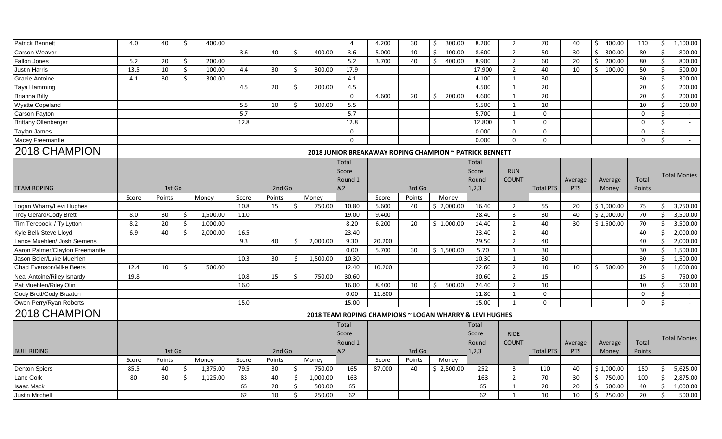| <b>Patrick Bennett</b>          | 4.0   | 40     | \$ | 400.00   |       |        |         |          | 4            | 4.200  | 30     | 300.00<br>\$                                            | 8.200   | $\overline{2}$ | 70               | 40      | 400.00<br>$\ddot{\mathsf{S}}$ | 110         | \$<br>1,100.00      |
|---------------------------------|-------|--------|----|----------|-------|--------|---------|----------|--------------|--------|--------|---------------------------------------------------------|---------|----------------|------------------|---------|-------------------------------|-------------|---------------------|
| <b>Carson Weaver</b>            |       |        |    |          | 3.6   | 40     | -Ś      | 400.00   | 3.6          | 5.000  | 10     | \$<br>100.00                                            | 8.600   | $\overline{2}$ | 50               | 30      | Ŝ.<br>300.00                  | 80          | Ś<br>800.00         |
| <b>Fallon Jones</b>             | 5.2   | 20     | -Ś | 200.00   |       |        |         |          | 5.2          | 3.700  | 40     | 400.00                                                  | 8.900   | $\overline{2}$ | 60               | 20      | \$<br>200.00                  | 80          | 800.00<br>Ś         |
| Justin Harris                   | 13.5  | 10     | \$ | 100.00   | 4.4   | 30     | Ŝ.      | 300.00   | 17.9         |        |        |                                                         | 17.900  | $\overline{2}$ | 40               | 10      | $\zeta$<br>100.00             | 50          | Ś<br>500.00         |
| Gracie Antoine                  | 4.1   | 30     | Ś  | 300.00   |       |        |         |          | 4.1          |        |        |                                                         | 4.100   | $\mathbf{1}$   | 30               |         |                               | 30          | 300.00              |
| Taya Hamming                    |       |        |    |          | 4.5   | 20     | -Ś      | 200.00   | 4.5          |        |        |                                                         | 4.500   | 1              | 20               |         |                               | 20          | 200.00<br>Ś         |
| <b>Brianna Billy</b>            |       |        |    |          |       |        |         |          | $\mathbf 0$  | 4.600  | 20     | 200.00<br>Ŝ.                                            | 4.600   | 1              | 20               |         |                               | 20          | 200.00              |
| Wyatte Copeland                 |       |        |    |          | 5.5   | 10     | Ŝ.      | 100.00   | 5.5          |        |        |                                                         | 5.500   | 1              | 10               |         |                               | 10          | 100.00<br>S         |
| Carson Payton                   |       |        |    |          | 5.7   |        |         |          | 5.7          |        |        |                                                         | 5.700   | $\mathbf{1}$   | $\mathbf 0$      |         |                               | $\mathbf 0$ | Ś                   |
| <b>Brittany Ollenberger</b>     |       |        |    |          | 12.8  |        |         |          | 12.8         |        |        |                                                         | 12.800  | 1              | $\Omega$         |         |                               | $\mathbf 0$ | \$<br>$\sim$        |
| Taylan James                    |       |        |    |          |       |        |         |          | $\mathbf{0}$ |        |        |                                                         | 0.000   | $\mathbf 0$    | $\Omega$         |         |                               | $\mathbf 0$ | \$                  |
| Macey Freemantle                |       |        |    |          |       |        |         |          | $\Omega$     |        |        |                                                         | 0.000   | $\Omega$       | $\Omega$         |         |                               | $\Omega$    | Ś.<br>$\sim$        |
| 2018 CHAMPION                   |       |        |    |          |       |        |         |          |              |        |        | 2018 JUNIOR BREAKAWAY ROPING CHAMPION ~ PATRICK BENNETT |         |                |                  |         |                               |             |                     |
|                                 |       |        |    |          |       |        |         |          | <b>Total</b> |        |        |                                                         | Total   |                |                  |         |                               |             |                     |
|                                 |       |        |    |          |       |        |         |          | Score        |        |        |                                                         | Score   | <b>RUN</b>     |                  |         |                               |             |                     |
|                                 |       |        |    |          |       |        |         |          | Round 1      |        |        |                                                         | Round   | <b>COUNT</b>   |                  | Average | Average                       | Total       | <b>Total Monies</b> |
| <b>TEAM ROPING</b>              |       | 1st Go |    |          |       | 2nd Go |         |          | &2           |        | 3rd Go |                                                         | 1, 2, 3 |                | <b>Total PTS</b> | PTS     | Money                         | Points      |                     |
|                                 | Score | Points |    | Money    | Score | Points |         | Money    |              | Score  | Points | Money                                                   |         |                |                  |         |                               |             |                     |
| Logan Wharry/Levi Hughes        |       |        |    |          | 10.8  | 15     | Ŝ.      | 750.00   | 10.80        | 5.600  | 40     | \$2,000.00                                              | 16.40   | $\overline{2}$ | 55               | 20      | \$1,000.00                    | 75          | 3,750.00<br>Ś       |
| <b>Troy Gerard/Cody Brett</b>   | 8.0   | 30     | \$ | 1,500.00 | 11.0  |        |         |          | 19.00        | 9.400  |        |                                                         | 28.40   | $\overline{3}$ | $\overline{30}$  | 40      | \$2,000.00                    | 70          | 3,500.00<br>.\$     |
| Tim Terepocki / Ty Lytton       | 8.2   | 20     | Ś  | 1,000.00 |       |        |         |          | 8.20         | 6.200  | 20     | \$1,000.00                                              | 14.40   | $\overline{2}$ | 40               | 30      | \$1,500.00                    | 70          | 3,500.00            |
| Kyle Bell/ Steve Lloyd          | 6.9   | 40     | Ś  | 2,000.00 | 16.5  |        |         |          | 23.40        |        |        |                                                         | 23.40   | $\overline{2}$ | 40               |         |                               | 40          | 2,000.00<br>\$      |
| Lance Muehlen/ Josh Siemens     |       |        |    |          | 9.3   | 40     | Ŝ.      | 2,000.00 | 9.30         | 20.200 |        |                                                         | 29.50   | 2              | 40               |         |                               | 40          | \$<br>2,000.00      |
| Aaron Palmer/Clayton Freemantle |       |        |    |          |       |        |         |          | 0.00         | 5.700  | 30     | \$1,500.00                                              | 5.70    | $\mathbf{1}$   | 30               |         |                               | 30          | 1,500.00<br>Ś       |
| Jason Beier/Luke Muehlen        |       |        |    |          | 10.3  | 30     | Ŝ.      | 1,500.00 | 10.30        |        |        |                                                         | 10.30   | 1              | 30               |         |                               | 30          | 1,500.00<br>Ś       |
| Chad Evenson/Mike Beers         | 12.4  | 10     | -Ś | 500.00   |       |        |         |          | 12.40        | 10.200 |        |                                                         | 22.60   | $\overline{2}$ | 10               | 10      | \$<br>500.00                  | 20          | \$<br>1,000.00      |
| Neal Antoine/Riley Isnardy      | 19.8  |        |    |          | 10.8  | 15     | -Ś      | 750.00   | 30.60        |        |        |                                                         | 30.60   | $\overline{2}$ | 15               |         |                               | 15          | 750.00              |
| Pat Muehlen/Riley Olin          |       |        |    |          | 16.0  |        |         |          | 16.00        | 8.400  | 10     | 500.00<br>ς.                                            | 24.40   | $\overline{2}$ | 10               |         |                               | 10          | 500.00<br>S,        |
| Cody Brett/Cody Braaten         |       |        |    |          |       |        |         |          | 0.00         | 11.800 |        |                                                         | 11.80   | 1              | $\Omega$         |         |                               | $\mathbf 0$ | .\$<br>$\sim$       |
| Owen Perry/Ryan Roberts         |       |        |    |          | 15.0  |        |         |          | 15.00        |        |        |                                                         | 15.00   | 1              | $\Omega$         |         |                               | $\Omega$    | \$                  |
| 2018 CHAMPION                   |       |        |    |          |       |        |         |          |              |        |        | 2018 TEAM ROPING CHAMPIONS ~ LOGAN WHARRY & LEVI HUGHES |         |                |                  |         |                               |             |                     |
|                                 |       |        |    |          |       |        |         |          | <b>Total</b> |        |        |                                                         | Total   |                |                  |         |                               |             |                     |
|                                 |       |        |    |          |       |        |         |          | Score        |        |        |                                                         | Score   | <b>RIDE</b>    |                  |         |                               |             |                     |
|                                 |       |        |    |          |       |        |         |          | Round 1      |        |        |                                                         | Round   | <b>COUNT</b>   |                  | Average | Average                       | Total       | <b>Total Monies</b> |
| <b>BULL RIDING</b>              |       | 1st Go |    |          |       | 2nd Go |         |          | 82           |        | 3rd Go |                                                         | 1, 2, 3 |                | <b>Total PTS</b> | PTS     | Money                         | Points      |                     |
|                                 | Score | Points |    | Money    | Score | Points |         | Money    |              | Score  | Points | Money                                                   |         |                |                  |         |                               |             |                     |
| Denton Spiers                   | 85.5  | 40     | Ŝ. | 1,375.00 | 79.5  | 30     | Ŝ.      | 750.00   | 165          | 87.000 | 40     | \$2,500.00                                              | 252     | $\overline{3}$ | 110              | 40      | \$1,000.00                    | 150         | 5,625.00            |
| Lane Cork                       | 80    | 30     | Ś. | 1,125.00 | 83    | 40     | -Ś      | 1,000.00 | 163          |        |        |                                                         | 163     | $\overline{2}$ | 70               | 30      | 750.00<br>\$                  | 100         | 2,875.00            |
| <b>Isaac Mack</b>               |       |        |    |          | 65    | 20     | Ŝ.      | 500.00   | 65           |        |        |                                                         | 65      | 1              | 20               | 20      | \$<br>500.00                  | 40          | 1,000.00            |
| Justin Mitchell                 |       |        |    |          | 62    | 10     | $\zeta$ | 250.00   | 62           |        |        |                                                         | 62      | 1              | 10               | 10      | $\ddot{\mathsf{S}}$<br>250.00 | 20          | .\$<br>500.00       |